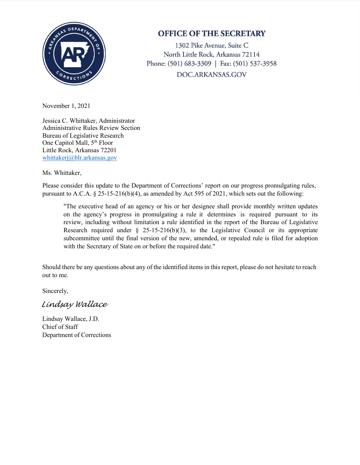

## **OFFICE OF THE SECRETARY**

1302 Pike Avenue, Suite C North Little Rock, Arkansas 72114 Phone: (501) 683-3309 | Fax: (501) 537-3958 DOC.ARKANSAS.GOV

November 1, 2021

Jessica C. Whittaker, Administrator Administrative Rules Review Section Bureau of Legislative Research One Capitol Mall, 5<sup>th</sup> Floor Little Rock, Arkansas 72201 [whittakerj@blr.arkansas.gov](mailto:whittakerj@blr.arkansas.gov)

Ms. Whittaker,

Please consider this update to the Department of Corrections' report on our progress promulgating rules, pursuant to A.C.A. § 25-15-216(b)(4), as amended by Act 595 of 2021, which sets out the following:

"The executive head of an agency or his or her designee shall provide monthly written updates on the agency's progress in promulgating a rule it determines is required pursuant to its review, including without limitation a rule identified in the report of the Bureau of Legislative Research required under  $\S$  25-15-216(b)(3), to the Legislative Council or its appropriate subcommittee until the final version of the new, amended, or repealed rule is filed for adoption with the Secretary of State on or before the required date."

Should there be any questions about any of the identified items in this report, please do not hesitate to reach out to me.

Sincerely,

*Lindsay Wallace*

Lindsay Wallace, J.D. Chief of Staff Department of Corrections